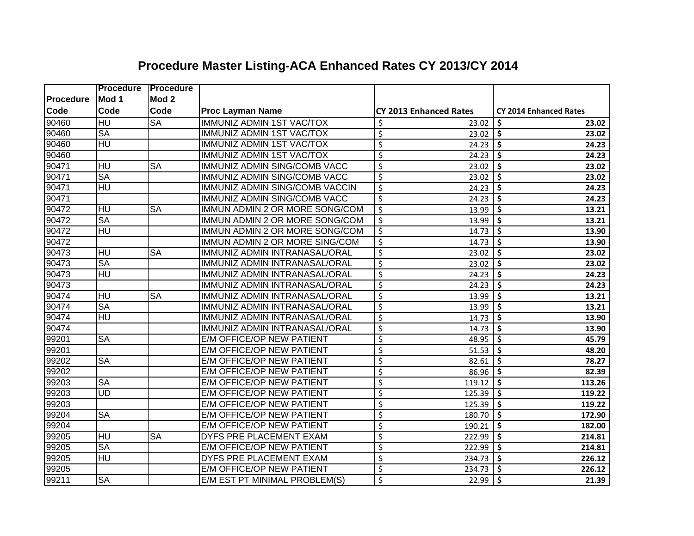|           | <b>Procedure</b>                    | <b>Procedure</b>       |                                     |                                   |                                           |
|-----------|-------------------------------------|------------------------|-------------------------------------|-----------------------------------|-------------------------------------------|
| Procedure | Mod 1                               | Mod <sub>2</sub>       |                                     |                                   |                                           |
| Code      | Code                                | Code                   | <b>Proc Layman Name</b>             | <b>CY 2013 Enhanced Rates</b>     | <b>CY 2014 Enhanced Rates</b>             |
| 90460     | $H\overline{U}$                     | <b>SA</b>              | <b>IMMUNIZ ADMIN 1ST VAC/TOX</b>    | \$<br>23.02                       | 23.02<br>\$                               |
| 90460     | <b>SA</b>                           |                        | <b>IMMUNIZ ADMIN 1ST VAC/TOX</b>    | \$<br>23.02                       | \$<br>23.02                               |
| 90460     | $H\overline{U}$                     |                        | <b>IMMUNIZ ADMIN 1ST VAC/TOX</b>    | \$<br>24.23                       | \$<br>24.23                               |
| 90460     |                                     |                        | <b>IMMUNIZ ADMIN 1ST VAC/TOX</b>    | \$<br>24.23                       | \$<br>24.23                               |
| 90471     | HU                                  | <b>SA</b>              | <b>IMMUNIZ ADMIN SING/COMB VACC</b> | \$<br>23.02                       | \$<br>23.02                               |
| 90471     | <b>SA</b>                           |                        | <b>IMMUNIZ ADMIN SING/COMB VACC</b> | $\overline{\varsigma}$<br>23.02   | $\overline{\boldsymbol{\zeta}}$<br>23.02  |
| 90471     | $\overline{HU}$                     |                        | IMMUNIZ ADMIN SING/COMB VACCIN      | $\overline{\varsigma}$<br>24.23   | \$<br>24.23                               |
| 90471     |                                     |                        | IMMUNIZ ADMIN SING/COMB VACC        | $\overline{\varsigma}$<br>24.23   | \$<br>24.23                               |
| 90472     | $\overline{\text{HU}}$              | $\overline{\text{SA}}$ | IMMUN ADMIN 2 OR MORE SONG/COM      | $\overline{\xi}$<br>13.99         | \$<br>13.21                               |
| 90472     | <b>SA</b>                           |                        | IMMUN ADMIN 2 OR MORE SONG/COM      | \$<br>13.99                       | \$<br>13.21                               |
| 90472     | HU                                  |                        | IMMUN ADMIN 2 OR MORE SONG/COM      | \$<br>14.73                       | \$<br>13.90                               |
| 90472     |                                     |                        | IMMUN ADMIN 2 OR MORE SING/COM      | $\overline{\xi}$<br>14.73         | \$<br>13.90                               |
| 90473     | HU                                  | <b>SA</b>              | IMMUNIZ ADMIN INTRANASAL/ORAL       | $\overline{\xi}$<br>23.02         | \$<br>23.02                               |
| 90473     | <b>SA</b>                           |                        | IMMUNIZ ADMIN INTRANASAL/ORAL       | $\overline{\varsigma}$<br>23.02   | \$<br>23.02                               |
| 90473     | HU                                  |                        | IMMUNIZ ADMIN INTRANASAL/ORAL       | $\overline{\varsigma}$<br>24.23   | \$<br>24.23                               |
| 90473     |                                     |                        | IMMUNIZ ADMIN INTRANASAL/ORAL       | \$<br>24.23                       | \$<br>24.23                               |
| 90474     | HU                                  | <b>SA</b>              | IMMUNIZ ADMIN INTRANASAL/ORAL       | $\overline{\varsigma}$<br>13.99   | \$<br>13.21                               |
| 90474     | <b>SA</b>                           |                        | IMMUNIZ ADMIN INTRANASAL/ORAL       | $\overline{\mathcal{S}}$<br>13.99 | \$<br>13.21                               |
| 90474     | $\overline{\overline{\mathsf{HU}}}$ |                        | IMMUNIZ ADMIN INTRANASAL/ORAL       | $\overline{\mathcal{S}}$<br>14.73 | \$<br>13.90                               |
| 90474     |                                     |                        | IMMUNIZ ADMIN INTRANASAL/ORAL       | $\overline{\mathcal{S}}$<br>14.73 | \$<br>13.90                               |
| 99201     | <b>SA</b>                           |                        | E/M OFFICE/OP NEW PATIENT           | $\overline{\varsigma}$<br>48.95   | \$<br>45.79                               |
| 99201     |                                     |                        | <b>E/M OFFICE/OP NEW PATIENT</b>    | $\overline{\varsigma}$<br>51.53   | \$<br>48.20                               |
| 99202     | $\overline{\text{SA}}$              |                        | E/M OFFICE/OP NEW PATIENT           | $\overline{\xi}$<br>82.61         | \$<br>78.27                               |
| 99202     |                                     |                        | E/M OFFICE/OP NEW PATIENT           | $\overline{\varsigma}$<br>86.96   | \$<br>82.39                               |
| 99203     | $\overline{\text{SA}}$              |                        | E/M OFFICE/OP NEW PATIENT           | $\overline{\varsigma}$<br>119.12  | \$<br>113.26                              |
| 99203     | $\overline{UD}$                     |                        | E/M OFFICE/OP NEW PATIENT           | $\overline{\varsigma}$<br>125.39  | \$<br>119.22                              |
| 99203     |                                     |                        | <b>E/M OFFICE/OP NEW PATIENT</b>    | $\overline{\varsigma}$<br>125.39  | \$<br>119.22                              |
| 99204     | <b>SA</b>                           |                        | <b>E/M OFFICE/OP NEW PATIENT</b>    | $\overline{\varsigma}$<br>180.70  | $\overline{\mathsf{s}}$<br>172.90         |
| 99204     |                                     |                        | <b>E/M OFFICE/OP NEW PATIENT</b>    | $\overline{\varsigma}$<br>190.21  | $\overline{\boldsymbol{\zeta}}$<br>182.00 |
| 99205     | ΙH                                  | <b>SA</b>              | <b>DYFS PRE PLACEMENT EXAM</b>      | $\overline{\varsigma}$<br>222.99  | $\overline{\mathsf{s}}$<br>214.81         |
| 99205     | <b>SA</b>                           |                        | E/M OFFICE/OP NEW PATIENT           | \$<br>222.99                      | $\overline{\boldsymbol{\zeta}}$<br>214.81 |
| 99205     | $\overline{\mathsf{H}\mathsf{U}}$   |                        | DYFS PRE PLACEMENT EXAM             | \$<br>234.73                      | $\overline{\boldsymbol{\zeta}}$<br>226.12 |
| 99205     |                                     |                        | E/M OFFICE/OP NEW PATIENT           | \$<br>234.73                      | \$<br>226.12                              |
| 99211     | <b>SA</b>                           |                        | E/M EST PT MINIMAL PROBLEM(S)       | \$<br>22.99                       | \$<br>21.39                               |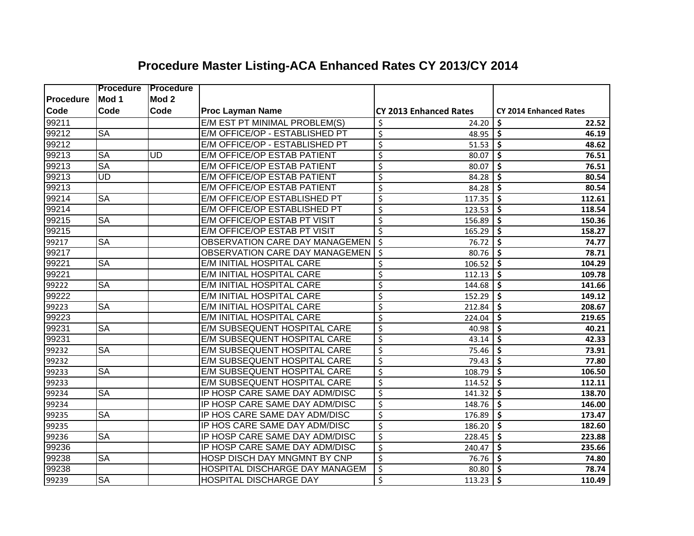|           | <b>Procedure</b>       | <b>Procedure</b> |                                    |                                    |                                           |
|-----------|------------------------|------------------|------------------------------------|------------------------------------|-------------------------------------------|
| Procedure | Mod 1                  | Mod <sub>2</sub> |                                    |                                    |                                           |
| Code      | Code                   | Code             | <b>Proc Layman Name</b>            | <b>CY 2013 Enhanced Rates</b>      | <b>CY 2014 Enhanced Rates</b>             |
| 99211     |                        |                  | E/M EST PT MINIMAL PROBLEM(S)      | \$<br>24.20                        | \$<br>22.52                               |
| 99212     | <b>SA</b>              |                  | E/M OFFICE/OP - ESTABLISHED PT     | \$<br>48.95                        | \$<br>46.19                               |
| 99212     |                        |                  | E/M OFFICE/OP - ESTABLISHED PT     | $\overline{\mathcal{S}}$<br>51.53  | \$<br>48.62                               |
| 99213     | <b>SA</b>              | <b>UD</b>        | E/M OFFICE/OP ESTAB PATIENT        | $\overline{\mathcal{S}}$<br>80.07  | \$<br>76.51                               |
| 99213     | $\overline{\text{SA}}$ |                  | E/M OFFICE/OP ESTAB PATIENT        | \$<br>80.07                        | \$<br>76.51                               |
| 99213     | $\overline{\text{UD}}$ |                  | <b>E/M OFFICE/OP ESTAB PATIENT</b> | \$<br>84.28                        | \$<br>80.54                               |
| 99213     |                        |                  | <b>E/M OFFICE/OP ESTAB PATIENT</b> | $\overline{\mathcal{S}}$<br>84.28  | \$<br>80.54                               |
| 99214     | <b>SA</b>              |                  | E/M OFFICE/OP ESTABLISHED PT       | $\overline{\mathcal{S}}$<br>117.35 | \$<br>112.61                              |
| 99214     |                        |                  | E/M OFFICE/OP ESTABLISHED PT       | $\overline{\mathcal{S}}$<br>123.53 | \$<br>118.54                              |
| 99215     | <b>SA</b>              |                  | E/M OFFICE/OP ESTAB PT VISIT       | $\overline{\mathcal{S}}$<br>156.89 | \$<br>150.36                              |
| 99215     |                        |                  | E/M OFFICE/OP ESTAB PT VISIT       | $\zeta$<br>165.29                  | \$<br>158.27                              |
| 99217     | <b>SA</b>              |                  | OBSERVATION CARE DAY MANAGEMEN     | $\zeta$<br>76.72                   | \$<br>74.77                               |
| 99217     |                        |                  | OBSERVATION CARE DAY MANAGEMEN     | $\zeta$<br>80.76                   | \$<br>78.71                               |
| 99221     | <b>SA</b>              |                  | E/M INITIAL HOSPITAL CARE          | \$<br>106.52                       | \$<br>104.29                              |
| 99221     |                        |                  | E/M INITIAL HOSPITAL CARE          | \$<br>112.13                       | \$<br>109.78                              |
| 99222     | <b>SA</b>              |                  | E/M INITIAL HOSPITAL CARE          | \$<br>144.68                       | \$<br>141.66                              |
| 99222     |                        |                  | E/M INITIAL HOSPITAL CARE          | \$<br>152.29                       | \$<br>149.12                              |
| 99223     | <b>SA</b>              |                  | E/M INITIAL HOSPITAL CARE          | $\overline{\mathcal{S}}$<br>212.84 | \$<br>208.67                              |
| 99223     |                        |                  | E/M INITIAL HOSPITAL CARE          | $\overline{\mathcal{S}}$<br>224.04 | \$<br>219.65                              |
| 99231     | <b>SA</b>              |                  | E/M SUBSEQUENT HOSPITAL CARE       | $\overline{\mathcal{S}}$<br>40.98  | \$<br>40.21                               |
| 99231     |                        |                  | E/M SUBSEQUENT HOSPITAL CARE       | $\overline{\mathcal{S}}$<br>43.14  | \$<br>42.33                               |
| 99232     | <b>SA</b>              |                  | E/M SUBSEQUENT HOSPITAL CARE       | $\overline{\mathcal{S}}$<br>75.46  | \$<br>73.91                               |
| 99232     |                        |                  | E/M SUBSEQUENT HOSPITAL CARE       | \$<br>79.43                        | \$<br>77.80                               |
| 99233     | <b>SA</b>              |                  | E/M SUBSEQUENT HOSPITAL CARE       | \$<br>108.79                       | \$<br>106.50                              |
| 99233     |                        |                  | E/M SUBSEQUENT HOSPITAL CARE       | $\overline{\mathcal{S}}$<br>114.52 | \$<br>112.11                              |
| 99234     | <b>SA</b>              |                  | IP HOSP CARE SAME DAY ADM/DISC     | $\overline{\mathcal{S}}$<br>141.32 | $\boldsymbol{\zeta}$<br>138.70            |
| 99234     |                        |                  | IP HOSP CARE SAME DAY ADM/DISC     | \$<br>148.76                       | \$<br>146.00                              |
| 99235     | <b>SA</b>              |                  | IP HOS CARE SAME DAY ADM/DISC      | \$<br>176.89                       | \$<br>173.47                              |
| 99235     |                        |                  | IP HOS CARE SAME DAY ADM/DISC      | $\overline{\mathcal{S}}$<br>186.20 | $\overline{\mathsf{s}}$<br>182.60         |
| 99236     | <b>SA</b>              |                  | IP HOSP CARE SAME DAY ADM/DISC     | $\overline{\mathcal{S}}$<br>228.45 | \$<br>223.88                              |
| 99236     |                        |                  | IP HOSP CARE SAME DAY ADM/DISC     | $\overline{\mathcal{S}}$<br>240.47 | $\overline{\boldsymbol{\zeta}}$<br>235.66 |
| 99238     | <b>SA</b>              |                  | HOSP DISCH DAY MNGMNT BY CNP       | $\overline{\mathcal{S}}$<br>76.76  | $\overline{\boldsymbol{\zeta}}$<br>74.80  |
| 99238     |                        |                  | HOSPITAL DISCHARGE DAY MANAGEM     | $\overline{\mathcal{S}}$<br>80.80  | \$<br>78.74                               |
| 99239     | <b>SA</b>              |                  | <b>HOSPITAL DISCHARGE DAY</b>      | \$<br>113.23                       | \$<br>110.49                              |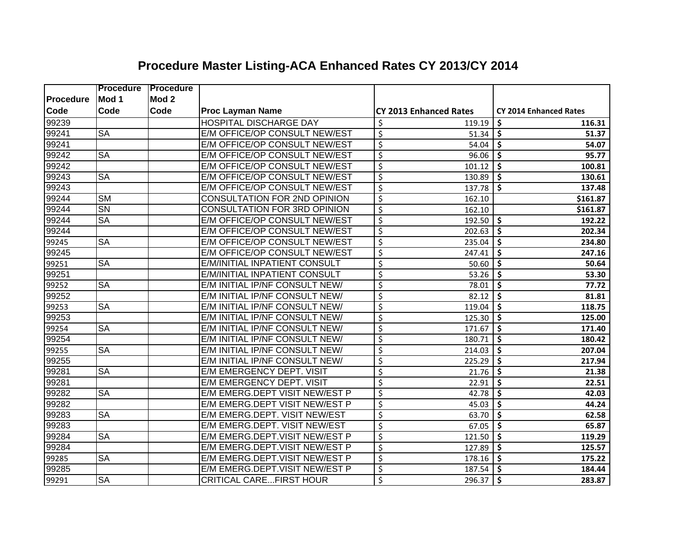|             | <b>Procedure</b>       | <b>Procedure</b> |                                     |                                    |                               |
|-------------|------------------------|------------------|-------------------------------------|------------------------------------|-------------------------------|
| Procedure   | Mod 1                  | Mod <sub>2</sub> |                                     |                                    |                               |
| <b>Code</b> | Code                   | Code             | <b>Proc Layman Name</b>             | <b>CY 2013 Enhanced Rates</b>      | <b>CY 2014 Enhanced Rates</b> |
| 99239       |                        |                  | <b>HOSPITAL DISCHARGE DAY</b>       | \$<br>119.19                       | \$<br>116.31                  |
| 99241       | <b>SA</b>              |                  | E/M OFFICE/OP CONSULT NEW/EST       | \$<br>51.34                        | \$<br>51.37                   |
| 99241       |                        |                  | E/M OFFICE/OP CONSULT NEW/EST       | \$<br>54.04                        | \$<br>54.07                   |
| 99242       | $\overline{\text{SA}}$ |                  | E/M OFFICE/OP CONSULT NEW/EST       | $\overline{\mathcal{S}}$<br>96.06  | \$<br>95.77                   |
| 99242       |                        |                  | E/M OFFICE/OP CONSULT NEW/EST       | \$<br>101.12                       | \$<br>100.81                  |
| 99243       | <b>SA</b>              |                  | E/M OFFICE/OP CONSULT NEW/EST       | $\overline{\mathcal{S}}$<br>130.89 | \$<br>130.61                  |
| 99243       |                        |                  | E/M OFFICE/OP CONSULT NEW/EST       | $\overline{\mathcal{S}}$<br>137.78 | \$<br>137.48                  |
| 99244       | $\overline{\text{SM}}$ |                  | CONSULTATION FOR 2ND OPINION        | $\overline{\mathcal{S}}$<br>162.10 | \$161.87                      |
| 99244       | $\overline{\text{SN}}$ |                  | <b>CONSULTATION FOR 3RD OPINION</b> | $\overline{\xi}$<br>162.10         | \$161.87                      |
| 99244       | <b>SA</b>              |                  | E/M OFFICE/OP CONSULT NEW/EST       | $\zeta$<br>192.50                  | \$<br>192.22                  |
| 99244       |                        |                  | E/M OFFICE/OP CONSULT NEW/EST       | \$<br>202.63                       | \$<br>202.34                  |
| 99245       | <b>SA</b>              |                  | E/M OFFICE/OP CONSULT NEW/EST       | $\overline{\xi}$<br>235.04         | \$<br>234.80                  |
| 99245       |                        |                  | E/M OFFICE/OP CONSULT NEW/EST       | $\overline{\xi}$<br>247.41         | \$<br>247.16                  |
| 99251       | <b>SA</b>              |                  | E/M/INITIAL INPATIENT CONSULT       | \$<br>50.60                        | \$<br>50.64                   |
| 99251       |                        |                  | E/M/INITIAL INPATIENT CONSULT       | $\overline{\mathsf{S}}$<br>53.26   | \$<br>53.30                   |
| 99252       | $\overline{\text{SA}}$ |                  | E/M INITIAL IP/NF CONSULT NEW/      | $\overline{\mathcal{S}}$<br>78.01  | \$<br>77.72                   |
| 99252       |                        |                  | E/M INITIAL IP/NF CONSULT NEW/      | $\overline{\mathcal{S}}$<br>82.12  | \$<br>81.81                   |
| 99253       | $\overline{\text{SA}}$ |                  | E/M INITIAL IP/NF CONSULT NEW/      | $\overline{\xi}$<br>119.04         | \$<br>118.75                  |
| 99253       |                        |                  | E/M INITIAL IP/NF CONSULT NEW/      | $\overline{\xi}$<br>125.30         | \$<br>125.00                  |
| 99254       | $\overline{\text{SA}}$ |                  | E/M INITIAL IP/NF CONSULT NEW/      | $\overline{\xi}$<br>171.67         | \$<br>171.40                  |
| 99254       |                        |                  | E/M INITIAL IP/NF CONSULT NEW/      | \$<br>180.71                       | \$<br>180.42                  |
| 99255       | <b>SA</b>              |                  | E/M INITIAL IP/NF CONSULT NEW/      | \$<br>214.03                       | \$<br>207.04                  |
| 99255       |                        |                  | E/M INITIAL IP/NF CONSULT NEW/      | $\overline{\xi}$<br>225.29         | \$<br>217.94                  |
| 99281       | $\overline{\text{SA}}$ |                  | E/M EMERGENCY DEPT. VISIT           | $\overline{\xi}$<br>21.76          | \$<br>21.38                   |
| 99281       |                        |                  | E/M EMERGENCY DEPT. VISIT           | \$<br>22.91                        | \$<br>22.51                   |
| 99282       | $\overline{\text{SA}}$ |                  | E/M EMERG.DEPT VISIT NEW/EST P      | $\overline{\xi}$<br>42.78          | \$<br>42.03                   |
| 99282       |                        |                  | E/M EMERG.DEPT VISIT NEW/EST P      | $\overline{\xi}$<br>45.03          | \$<br>44.24                   |
| 99283       | $\overline{\text{SA}}$ |                  | E/M EMERG.DEPT. VISIT NEW/EST       | \$<br>63.70                        | $\dot{\mathsf{s}}$<br>62.58   |
| 99283       |                        |                  | E/M EMERG.DEPT. VISIT NEW/EST       | $\overline{\xi}$<br>67.05          | \$<br>65.87                   |
| 99284       | <b>SA</b>              |                  | E/M EMERG.DEPT.VISIT NEW/EST P      | $\overline{\mathcal{S}}$<br>121.50 | \$<br>119.29                  |
| 99284       |                        |                  | E/M EMERG.DEPT.VISIT NEW/EST P      | $\overline{\mathcal{S}}$<br>127.89 | \$<br>125.57                  |
| 99285       | <b>SA</b>              |                  | E/M EMERG.DEPT.VISIT NEW/EST P      | \$<br>178.16                       | \$<br>175.22                  |
| 99285       |                        |                  | E/M EMERG.DEPT.VISIT NEW/EST P      | \$<br>187.54                       | \$<br>184.44                  |
| 99291       | $\overline{\text{SA}}$ |                  | <b>CRITICAL CAREFIRST HOUR</b>      | \$<br>296.37                       | \$<br>283.87                  |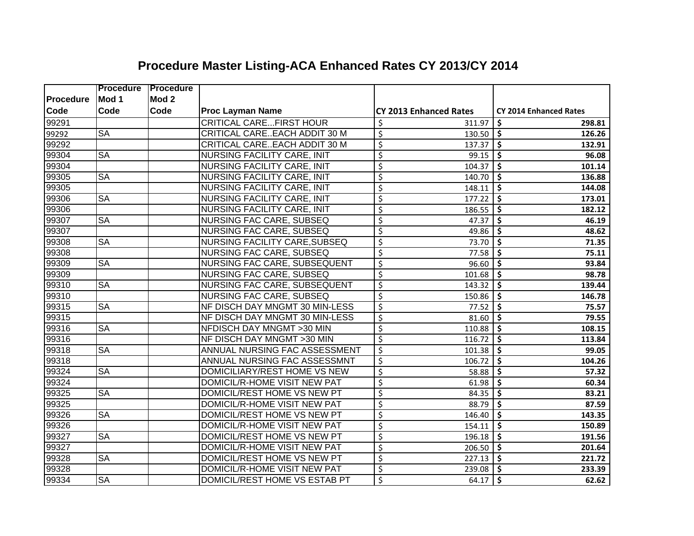|           | <b>Procedure</b>       | <b>IProcedure</b> |                                    |                                    |                                           |
|-----------|------------------------|-------------------|------------------------------------|------------------------------------|-------------------------------------------|
| Procedure | Mod 1                  | Mod <sub>2</sub>  |                                    |                                    |                                           |
| Code      | Code                   | Code              | <b>Proc Layman Name</b>            | <b>CY 2013 Enhanced Rates</b>      | <b>CY 2014 Enhanced Rates</b>             |
| 99291     |                        |                   | <b>CRITICAL CAREFIRST HOUR</b>     | \$<br>311.97                       | \$<br>298.81                              |
| 99292     | <b>SA</b>              |                   | CRITICAL CAREEACH ADDIT 30 M       | $\overline{\mathcal{S}}$<br>130.50 | \$<br>126.26                              |
| 99292     |                        |                   | CRITICAL CAREEACH ADDIT 30 M       | $\overline{\mathcal{S}}$<br>137.37 | \$<br>132.91                              |
| 99304     | <b>SA</b>              |                   | NURSING FACILITY CARE, INIT        | \$<br>99.15                        | \$<br>96.08                               |
| 99304     |                        |                   | NURSING FACILITY CARE, INIT        | $\overline{\xi}$<br>104.37         | \$<br>101.14                              |
| 99305     | <b>SA</b>              |                   | <b>NURSING FACILITY CARE, INIT</b> | $\overline{\mathcal{S}}$<br>140.70 | \$<br>136.88                              |
| 99305     |                        |                   | <b>NURSING FACILITY CARE, INIT</b> | $\overline{\mathcal{S}}$<br>148.11 | \$<br>144.08                              |
| 99306     | <b>SA</b>              |                   | NURSING FACILITY CARE, INIT        | \$<br>177.22                       | $\overline{\boldsymbol{\zeta}}$<br>173.01 |
| 99306     |                        |                   | NURSING FACILITY CARE, INIT        | \$<br>186.55                       | \$<br>182.12                              |
| 99307     | <b>SA</b>              |                   | <b>NURSING FAC CARE, SUBSEQ</b>    | $\overline{\mathcal{S}}$<br>47.37  | \$<br>46.19                               |
| 99307     |                        |                   | <b>NURSING FAC CARE, SUBSEQ</b>    | $\overline{\mathcal{S}}$<br>49.86  | \$<br>48.62                               |
| 99308     | <b>SA</b>              |                   | NURSING FACILITY CARE, SUBSEQ      | $\overline{\xi}$<br>73.70          | \$<br>71.35                               |
| 99308     |                        |                   | <b>NURSING FAC CARE, SUBSEQ</b>    | $\overline{\xi}$<br>77.58          | \$<br>75.11                               |
| 99309     | $\overline{\text{SA}}$ |                   | NURSING FAC CARE, SUBSEQUENT       | $\overline{\mathcal{S}}$<br>96.60  | \$<br>93.84                               |
| 99309     |                        |                   | <b>NURSING FAC CARE, SUBSEQ</b>    | $\overline{\mathcal{S}}$<br>101.68 | \$<br>98.78                               |
| 99310     | <b>SA</b>              |                   | NURSING FAC CARE, SUBSEQUENT       | $\overline{\mathcal{S}}$<br>143.32 | \$<br>139.44                              |
| 99310     |                        |                   | <b>NURSING FAC CARE, SUBSEQ</b>    | $\overline{\mathcal{S}}$<br>150.86 | \$<br>146.78                              |
| 99315     | $\overline{\text{SA}}$ |                   | NF DISCH DAY MNGMT 30 MIN-LESS     | $\overline{\mathcal{S}}$<br>77.52  | \$<br>75.57                               |
| 99315     |                        |                   | NF DISCH DAY MNGMT 30 MIN-LESS     | $\overline{\mathcal{S}}$<br>81.60  | \$<br>79.55                               |
| 99316     | <b>SA</b>              |                   | NFDISCH DAY MNGMT > 30 MIN         | $\overline{\mathcal{S}}$<br>110.88 | \$<br>108.15                              |
| 99316     |                        |                   | NF DISCH DAY MNGMT > 30 MIN        | \$<br>116.72                       | \$<br>113.84                              |
| 99318     | <b>SA</b>              |                   | ANNUAL NURSING FAC ASSESSMENT      | $\overline{\mathcal{S}}$<br>101.38 | \$<br>99.05                               |
| 99318     |                        |                   | ANNUAL NURSING FAC ASSESSMNT       | $\overline{\mathcal{S}}$<br>106.72 | $\dot{\mathsf{s}}$<br>104.26              |
| 99324     | <b>SA</b>              |                   | DOMICILIARY/REST HOME VS NEW       | $\overline{\mathcal{S}}$<br>58.88  | $\dot{\mathsf{s}}$<br>57.32               |
| 99324     |                        |                   | DOMICIL/R-HOME VISIT NEW PAT       | \$<br>61.98                        | \$<br>60.34                               |
| 99325     | <b>SA</b>              |                   | DOMICIL/REST HOME VS NEW PT        | \$<br>84.35                        | $\overline{\mathsf{s}}$<br>83.21          |
| 99325     |                        |                   | DOMICIL/R-HOME VISIT NEW PAT       | \$<br>88.79                        | \$<br>87.59                               |
| 99326     | <b>SA</b>              |                   | DOMICIL/REST HOME VS NEW PT        | $\overline{\mathcal{S}}$<br>146.40 | \$<br>143.35                              |
| 99326     |                        |                   | DOMICIL/R-HOME VISIT NEW PAT       | \$<br>154.11                       | $\boldsymbol{\zeta}$<br>150.89            |
| 99327     | <b>SA</b>              |                   | DOMICIL/REST HOME VS NEW PT        | \$<br>196.18                       | $\dot{\mathsf{s}}$<br>191.56              |
| 99327     |                        |                   | DOMICIL/R-HOME VISIT NEW PAT       | $\overline{\mathcal{S}}$<br>206.50 | $\overline{\boldsymbol{\zeta}}$<br>201.64 |
| 99328     | <b>SA</b>              |                   | DOMICIL/REST HOME VS NEW PT        | $\overline{\mathcal{S}}$<br>227.13 | $\overline{\boldsymbol{\zeta}}$<br>221.72 |
| 99328     |                        |                   | DOMICIL/R-HOME VISIT NEW PAT       | \$<br>239.08                       | \$<br>233.39                              |
| 99334     | <b>SA</b>              |                   | DOMICIL/REST HOME VS ESTAB PT      | \$<br>64.17                        | \$<br>62.62                               |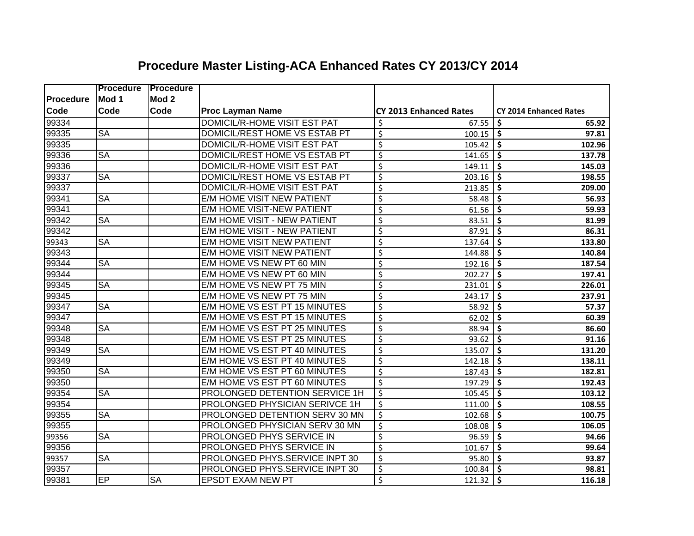|           | <b>Procedure</b>       | <b>Procedure</b> |                                   |                                    |                               |
|-----------|------------------------|------------------|-----------------------------------|------------------------------------|-------------------------------|
| Procedure | Mod 1                  | Mod <sub>2</sub> |                                   |                                    |                               |
| Code      | Code                   | Code             | <b>Proc Layman Name</b>           | <b>CY 2013 Enhanced Rates</b>      | <b>CY 2014 Enhanced Rates</b> |
| 99334     |                        |                  | DOMICIL/R-HOME VISIT EST PAT      | \$<br>67.55                        | \$<br>65.92                   |
| 99335     | <b>SA</b>              |                  | DOMICIL/REST HOME VS ESTAB PT     | \$<br>100.15                       | \$<br>97.81                   |
| 99335     |                        |                  | DOMICIL/R-HOME VISIT EST PAT      | \$<br>105.42                       | \$<br>102.96                  |
| 99336     | <b>SA</b>              |                  | DOMICIL/REST HOME VS ESTAB PT     | $\overline{\mathcal{S}}$<br>141.65 | \$<br>137.78                  |
| 99336     |                        |                  | DOMICIL/R-HOME VISIT EST PAT      | \$<br>149.11                       | \$<br>145.03                  |
| 99337     | <b>SA</b>              |                  | DOMICIL/REST HOME VS ESTAB PT     | \$<br>203.16                       | \$<br>198.55                  |
| 99337     |                        |                  | DOMICIL/R-HOME VISIT EST PAT      | $\overline{\mathcal{S}}$<br>213.85 | \$<br>209.00                  |
| 99341     | <b>SA</b>              |                  | <b>E/M HOME VISIT NEW PATIENT</b> | $\overline{\mathcal{S}}$<br>58.48  | \$<br>56.93                   |
| 99341     |                        |                  | <b>E/M HOME VISIT-NEW PATIENT</b> | $\overline{\mathcal{S}}$<br>61.56  | \$<br>59.93                   |
| 99342     | <b>SA</b>              |                  | E/M HOME VISIT - NEW PATIENT      | \$<br>83.51                        | \$<br>81.99                   |
| 99342     |                        |                  | E/M HOME VISIT - NEW PATIENT      | \$<br>87.91                        | \$<br>86.31                   |
| 99343     | <b>SA</b>              |                  | <b>E/M HOME VISIT NEW PATIENT</b> | $\overline{\xi}$<br>137.64         | \$<br>133.80                  |
| 99343     |                        |                  | <b>E/M HOME VISIT NEW PATIENT</b> | \$<br>144.88                       | \$<br>140.84                  |
| 99344     | <b>SA</b>              |                  | E/M HOME VS NEW PT 60 MIN         | $\overline{\mathcal{S}}$<br>192.16 | \$<br>187.54                  |
| 99344     |                        |                  | E/M HOME VS NEW PT 60 MIN         | \$<br>202.27                       | Ś.<br>197.41                  |
| 99345     | <b>SA</b>              |                  | E/M HOME VS NEW PT 75 MIN         | \$<br>231.01                       | Ś.<br>226.01                  |
| 99345     |                        |                  | E/M HOME VS NEW PT 75 MIN         | \$<br>243.17                       | Ś.<br>237.91                  |
| 99347     | <b>SA</b>              |                  | E/M HOME VS EST PT 15 MINUTES     | $\overline{\mathcal{S}}$<br>58.92  | \$<br>57.37                   |
| 99347     |                        |                  | E/M HOME VS EST PT 15 MINUTES     | $\overline{\mathcal{S}}$<br>62.02  | \$<br>60.39                   |
| 99348     | $\overline{\text{SA}}$ |                  | E/M HOME VS EST PT 25 MINUTES     | $\overline{\mathcal{S}}$<br>88.94  | \$<br>86.60                   |
| 99348     |                        |                  | E/M HOME VS EST PT 25 MINUTES     | $\overline{\mathcal{S}}$<br>93.62  | \$<br>91.16                   |
| 99349     | <b>SA</b>              |                  | E/M HOME VS EST PT 40 MINUTES     | $\overline{\mathcal{S}}$<br>135.07 | \$<br>131.20                  |
| 99349     |                        |                  | E/M HOME VS EST PT 40 MINUTES     | $\overline{\xi}$<br>142.18         | \$<br>138.11                  |
| 99350     | <b>SA</b>              |                  | E/M HOME VS EST PT 60 MINUTES     | $\overline{\mathcal{S}}$<br>187.43 | \$<br>182.81                  |
| 99350     |                        |                  | E/M HOME VS EST PT 60 MINUTES     | $\overline{\mathcal{S}}$<br>197.29 | \$<br>192.43                  |
| 99354     | <b>SA</b>              |                  | PROLONGED DETENTION SERVICE 1H    | $\overline{\mathcal{S}}$<br>105.45 | \$<br>103.12                  |
| 99354     |                        |                  | PROLONGED PHYSICIAN SERIVCE 1H    | \$<br>111.00                       | \$<br>108.55                  |
| 99355     | <b>SA</b>              |                  | PROLONGED DETENTION SERV 30 MN    | \$<br>102.68                       | \$<br>100.75                  |
| 99355     |                        |                  | PROLONGED PHYSICIAN SERV 30 MN    | \$<br>108.08                       | \$<br>106.05                  |
| 99356     | <b>SA</b>              |                  | PROLONGED PHYS SERVICE IN         | $\overline{\mathcal{S}}$<br>96.59  | \$<br>94.66                   |
| 99356     |                        |                  | PROLONGED PHYS SERVICE IN         | $\overline{\mathcal{S}}$<br>101.67 | \$<br>99.64                   |
| 99357     | <b>SA</b>              |                  | PROLONGED PHYS.SERVICE INPT 30    | $\overline{\mathcal{S}}$<br>95.80  | \$<br>93.87                   |
| 99357     |                        |                  | PROLONGED PHYS.SERVICE INPT 30    | \$<br>100.84                       | \$<br>98.81                   |
| 99381     | EP                     | <b>SA</b>        | EPSDT EXAM NEW PT                 | \$<br>121.32                       | \$<br>116.18                  |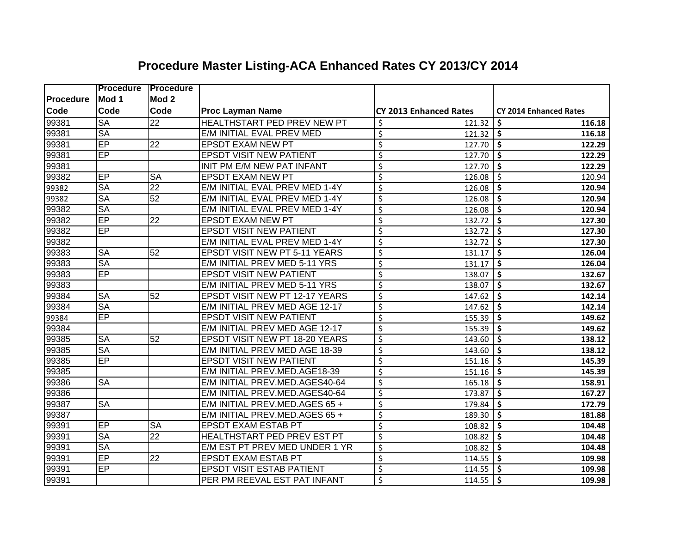|           | <b>Procedure</b>       | <b>Procedure</b>       |                                       |                                   |                               |
|-----------|------------------------|------------------------|---------------------------------------|-----------------------------------|-------------------------------|
| Procedure | Mod 1                  | Mod <sub>2</sub>       |                                       |                                   |                               |
| Code      | Code                   | <b>Code</b>            | <b>Proc Layman Name</b>               | <b>CY 2013 Enhanced Rates</b>     | <b>CY 2014 Enhanced Rates</b> |
| 99381     | <b>SA</b>              | $\overline{22}$        | HEALTHSTART PED PREV NEW PT           | \$<br>121.32                      | \$<br>116.18                  |
| 99381     | <b>SA</b>              |                        | E/M INITIAL EVAL PREV MED             | \$<br>121.32                      | \$<br>116.18                  |
| 99381     | EP                     | 22                     | <b>EPSDT EXAM NEW PT</b>              | \$<br>127.70                      | \$<br>122.29                  |
| 99381     | EP                     |                        | <b>EPSDT VISIT NEW PATIENT</b>        | $\overline{\xi}$<br>127.70        | \$<br>122.29                  |
| 99381     |                        |                        | INIT PM E/M NEW PAT INFANT            | \$<br>127.70                      | \$<br>122.29                  |
| 99382     | $\overline{EP}$        | <b>SA</b>              | <b>EPSDT EXAM NEW PT</b>              | $\overline{\xi}$<br>126.08        | \$<br>120.94                  |
| 99382     | <b>SA</b>              | $\overline{22}$        | E/M INITIAL EVAL PREV MED 1-4Y        | \$<br>126.08                      | \$<br>120.94                  |
| 99382     | <b>SA</b>              | 52                     | E/M INITIAL EVAL PREV MED 1-4Y        | \$<br>126.08                      | \$<br>120.94                  |
| 99382     | <b>SA</b>              |                        | E/M INITIAL EVAL PREV MED 1-4Y        | \$<br>126.08                      | \$<br>120.94                  |
| 99382     | EP                     | $\overline{22}$        | <b>EPSDT EXAM NEW PT</b>              | \$<br>132.72                      | \$<br>127.30                  |
| 99382     | EP                     |                        | <b>EPSDT VISIT NEW PATIENT</b>        | \$<br>132.72                      | \$<br>127.30                  |
| 99382     |                        |                        | E/M INITIAL EVAL PREV MED 1-4Y        | $\overline{\xi}$<br>132.72        | \$<br>127.30                  |
| 99383     | <b>SA</b>              | 52                     | <b>EPSDT VISIT NEW PT 5-11 YEARS</b>  | \$<br>131.17                      | \$<br>126.04                  |
| 99383     | <b>SA</b>              |                        | E/M INITIAL PREV MED 5-11 YRS         | $\overline{\varsigma}$<br>131.17  | \$<br>126.04                  |
| 99383     | EP                     |                        | <b>EPSDT VISIT NEW PATIENT</b>        | $\overline{\mathsf{S}}$<br>138.07 | \$<br>132.67                  |
| 99383     |                        |                        | E/M INITIAL PREV MED 5-11 YRS         | $\overline{\mathsf{S}}$<br>138.07 | \$<br>132.67                  |
| 99384     | <b>SA</b>              | 52                     | <b>EPSDT VISIT NEW PT 12-17 YEARS</b> | $\overline{\mathsf{S}}$<br>147.62 | \$<br>142.14                  |
| 99384     | <b>SA</b>              |                        | E/M INITIAL PREV MED AGE 12-17        | $\overline{\xi}$<br>147.62        | \$<br>142.14                  |
| 99384     | EP                     |                        | <b>EPSDT VISIT NEW PATIENT</b>        | $\overline{\xi}$<br>155.39        | \$<br>149.62                  |
| 99384     |                        |                        | E/M INITIAL PREV MED AGE 12-17        | $\overline{\xi}$<br>155.39        | \$<br>149.62                  |
| 99385     | <b>SA</b>              | 52                     | <b>EPSDT VISIT NEW PT 18-20 YEARS</b> | \$<br>143.60                      | Ś.<br>138.12                  |
| 99385     | <b>SA</b>              |                        | E/M INITIAL PREV MED AGE 18-39        | \$<br>143.60                      | Ś.<br>138.12                  |
| 99385     | EP                     |                        | <b>EPSDT VISIT NEW PATIENT</b>        | \$<br>151.16                      | \$<br>145.39                  |
| 99385     |                        |                        | E/M INITIAL PREV.MED.AGE18-39         | \$<br>151.16                      | \$<br>145.39                  |
| 99386     | $\overline{\text{SA}}$ |                        | E/M INITIAL PREV.MED.AGES40-64        | \$<br>165.18                      | \$<br>158.91                  |
| 99386     |                        |                        | E/M INITIAL PREV.MED.AGES40-64        | \$<br>173.87                      | \$<br>167.27                  |
| 99387     | $\overline{\text{SA}}$ |                        | E/M INITIAL PREV.MED.AGES 65 +        | \$<br>179.84                      | Ś.<br>172.79                  |
| 99387     |                        |                        | E/M INITIAL PREV.MED.AGES 65 +        | \$<br>189.30                      | \$<br>181.88                  |
| 99391     | EP                     | $\overline{\text{SA}}$ | <b>EPSDT EXAM ESTAB PT</b>            | $\overline{\xi}$<br>108.82        | \$<br>104.48                  |
| 99391     | <b>SA</b>              | $\overline{22}$        | <b>HEALTHSTART PED PREV EST PT</b>    | $\overline{\xi}$<br>108.82        | \$<br>104.48                  |
| 99391     | <b>SA</b>              |                        | E/M EST PT PREV MED UNDER 1 YR        | \$<br>108.82                      | \$<br>104.48                  |
| 99391     | EP                     | $\overline{22}$        | <b>EPSDT EXAM ESTAB PT</b>            | \$<br>114.55                      | \$<br>109.98                  |
| 99391     | EP                     |                        | <b>EPSDT VISIT ESTAB PATIENT</b>      | \$<br>114.55                      | \$<br>109.98                  |
| 99391     |                        |                        | PER PM REEVAL EST PAT INFANT          | \$<br>114.55                      | \$<br>109.98                  |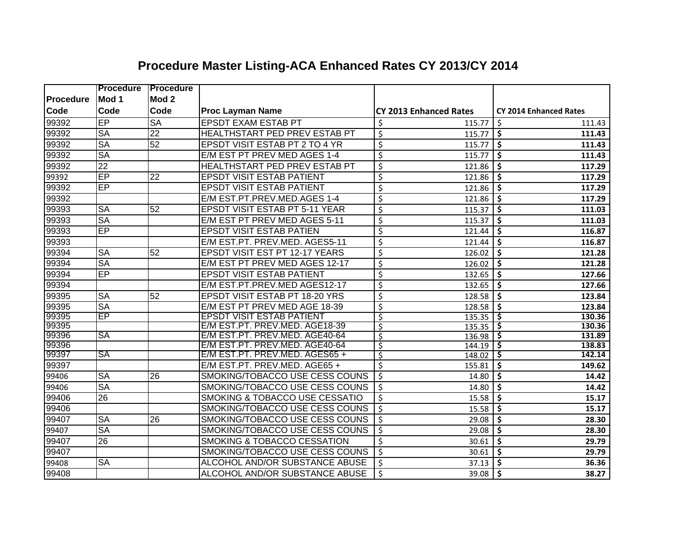|                  | <b>Procedure</b> | <b>IProcedure</b> |                                           |                                    |                                           |
|------------------|------------------|-------------------|-------------------------------------------|------------------------------------|-------------------------------------------|
| <b>Procedure</b> | Mod 1            | Mod <sub>2</sub>  |                                           |                                    |                                           |
| <b>Code</b>      | Code             | Code              | <b>Proc Layman Name</b>                   | <b>CY 2013 Enhanced Rates</b>      | <b>CY 2014 Enhanced Rates</b>             |
| 99392            | EP               | <b>SA</b>         | <b>EPSDT EXAM ESTAB PT</b>                | \$<br>115.77                       | \$<br>111.43                              |
| 99392            | <b>SA</b>        | 22                | HEALTHSTART PED PREV ESTAB PT             | \$<br>115.77                       | \$<br>111.43                              |
| 99392            | <b>SA</b>        | $\overline{52}$   | EPSDT VISIT ESTAB PT 2 TO 4 YR            | $\zeta$<br>115.77                  | \$<br>111.43                              |
| 99392            | <b>SA</b>        |                   | E/M EST PT PREV MED AGES 1-4              | $\overline{\mathcal{S}}$<br>115.77 | \$<br>111.43                              |
| 99392            | $\overline{22}$  |                   | HEALTHSTART PED PREV ESTAB PT             | $\overline{\xi}$<br>121.86         | $\boldsymbol{\zeta}$<br>117.29            |
| 99392            | $\overline{EP}$  | $\overline{22}$   | <b>EPSDT VISIT ESTAB PATIENT</b>          | \$<br>121.86                       | \$<br>117.29                              |
| 99392            | EP               |                   | <b>EPSDT VISIT ESTAB PATIENT</b>          | $\overline{\xi}$<br>121.86         | \$<br>117.29                              |
| 99392            |                  |                   | E/M EST.PT.PREV.MED.AGES 1-4              | $\overline{\varsigma}$<br>121.86   | $\overline{\boldsymbol{\zeta}}$<br>117.29 |
| 99393            | <b>SA</b>        | 52                | EPSDT VISIT ESTAB PT 5-11 YEAR            | \$<br>115.37                       | \$<br>111.03                              |
| 99393            | <b>SA</b>        |                   | E/M EST PT PREV MED AGES 5-11             | \$<br>115.37                       | \$<br>111.03                              |
| 99393            | EP               |                   | <b>EPSDT VISIT ESTAB PATIEN</b>           | \$<br>121.44                       | \$<br>116.87                              |
| 99393            |                  |                   | E/M EST.PT. PREV.MED. AGES5-11            | $\zeta$<br>121.44                  | \$<br>116.87                              |
| 99394            | <b>SA</b>        | 52                | <b>EPSDT VISIT EST PT 12-17 YEARS</b>     | \$<br>126.02                       | \$<br>121.28                              |
| 99394            | <b>SA</b>        |                   | E/M EST PT PREV MED AGES 12-17            | \$<br>126.02                       | \$<br>121.28                              |
| 99394            | EP               |                   | <b>EPSDT VISIT ESTAB PATIENT</b>          | $\overline{\xi}$<br>132.65         | Ś<br>127.66                               |
| 99394            |                  |                   | E/M EST.PT.PREV.MED AGES12-17             | $\overline{\varsigma}$<br>132.65   | \$<br>127.66                              |
| 99395            | <b>SA</b>        | 52                | EPSDT VISIT ESTAB PT 18-20 YRS            | $\overline{\mathcal{S}}$<br>128.58 | \$<br>123.84                              |
| 99395            | <b>SA</b>        |                   | E/M EST PT PREV MED AGE 18-39             | \$<br>128.58                       | \$<br>123.84                              |
| 99395            | ΈP               |                   | <b>EPSDT VISIT ESTAB PATIENT</b>          | ॱऽ<br>135.35                       | \$<br>130.36                              |
| 99395            |                  |                   | E/M EST.PT. PREV.MED. AGE18-39            | \$<br>135.35                       | \$<br>130.36                              |
| 99396            | SA               |                   | E/M EST.PT. PREV.MED. AGE40-64            | $\zeta$<br>136.98                  | \$<br>131.89                              |
| 99396            |                  |                   | E/M EST.PT. PREV.MED. AGE40-64            | $\overline{\mathsf{S}}$<br>144.19  | 138.83<br>\$                              |
| 99397            | <b>SA</b>        |                   | E/M EST.PT. PREV.MED. AGES65 +            | $\overline{\mathcal{S}}$<br>148.02 | \$<br>142.14                              |
| 99397            |                  |                   | E/M EST.PT. PREV.MED. AGE65 +             | \$<br>155.81                       | \$<br>149.62                              |
| 99406            | <b>SA</b>        | 26                | SMOKING/TOBACCO USE CESS COUNS            | \$<br>14.80                        | \$<br>14.42                               |
| 99406            | <b>SA</b>        |                   | SMOKING/TOBACCO USE CESS COUNS            | \$<br>14.80                        | \$<br>14.42                               |
| 99406            | 26               |                   | <b>SMOKING &amp; TOBACCO USE CESSATIO</b> | \$<br>15.58                        | \$<br>15.17                               |
| 99406            |                  |                   | SMOKING/TOBACCO USE CESS COUNS            | $\zeta$<br>15.58                   | \$<br>15.17                               |
| 99407            | <b>SA</b>        | 26                | SMOKING/TOBACCO USE CESS COUNS            | $\zeta$<br>29.08                   | \$<br>28.30                               |
| 99407            | <b>SA</b>        |                   | SMOKING/TOBACCO USE CESS COUNS            | $\zeta$<br>29.08                   | \$<br>28.30                               |
| 99407            | 26               |                   | SMOKING & TOBACCO CESSATION               | $\zeta$<br>30.61                   | \$<br>29.79                               |
| 99407            |                  |                   | SMOKING/TOBACCO USE CESS COUNS            | $\zeta$<br>30.61                   | \$<br>29.79                               |
| 99408            | <b>SA</b>        |                   | ALCOHOL AND/OR SUBSTANCE ABUSE            | $\zeta$<br>37.13                   | \$<br>36.36                               |
| 99408            |                  |                   | ALCOHOL AND/OR SUBSTANCE ABUSE            | $\zeta$<br>39.08                   | $\mathsf{\$}$<br>38.27                    |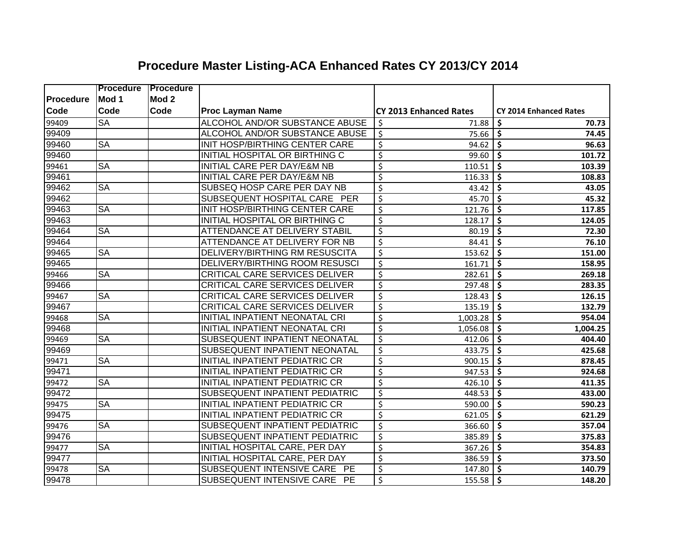|             | <b>Procedure</b>       | <b>Procedure</b> |                                        |                                      |                                           |
|-------------|------------------------|------------------|----------------------------------------|--------------------------------------|-------------------------------------------|
| Procedure   | Mod 1                  | Mod <sub>2</sub> |                                        |                                      |                                           |
| <b>Code</b> | Code                   | Code             | <b>Proc Layman Name</b>                | <b>CY 2013 Enhanced Rates</b>        | <b>CY 2014 Enhanced Rates</b>             |
| 99409       | $\overline{\text{SA}}$ |                  | ALCOHOL AND/OR SUBSTANCE ABUSE         | \$<br>71.88                          | 70.73<br>\$                               |
| 99409       |                        |                  | ALCOHOL AND/OR SUBSTANCE ABUSE         | \$<br>75.66                          | \$<br>74.45                               |
| 99460       | $\overline{\text{SA}}$ |                  | INIT HOSP/BIRTHING CENTER CARE         | \$<br>94.62                          | \$<br>96.63                               |
| 99460       |                        |                  | INITIAL HOSPITAL OR BIRTHING C         | \$<br>99.60                          | \$<br>101.72                              |
| 99461       | <b>SA</b>              |                  | <b>INITIAL CARE PER DAY/E&amp;M NB</b> | \$<br>110.51                         | \$<br>103.39                              |
| 99461       |                        |                  | INITIAL CARE PER DAY/E&M NB            | $\overline{\xi}$<br>116.33           | \$<br>108.83                              |
| 99462       | <b>SA</b>              |                  | SUBSEQ HOSP CARE PER DAY NB            | $\overline{\mathcal{S}}$<br>43.42    | \$<br>43.05                               |
| 99462       |                        |                  | SUBSEQUENT HOSPITAL CARE PER           | $\overline{\mathcal{S}}$<br>45.70    | \$<br>45.32                               |
| 99463       | $\overline{\text{SA}}$ |                  | INIT HOSP/BIRTHING CENTER CARE         | $\overline{\mathcal{S}}$<br>121.76   | \$<br>117.85                              |
| 99463       |                        |                  | INITIAL HOSPITAL OR BIRTHING C         | $\overline{\mathcal{S}}$<br>128.17   | \$<br>124.05                              |
| 99464       | <b>SA</b>              |                  | ATTENDANCE AT DELIVERY STABIL          | \$<br>80.19                          | \$<br>72.30                               |
| 99464       |                        |                  | ATTENDANCE AT DELIVERY FOR NB          | $\overline{\mathcal{S}}$<br>84.41    | \$<br>76.10                               |
| 99465       | <b>SA</b>              |                  | DELIVERY/BIRTHING RM RESUSCITA         | $\overline{\mathcal{S}}$<br>153.62   | \$<br>151.00                              |
| 99465       |                        |                  | DELIVERY/BIRTHING ROOM RESUSCI         | $\overline{\mathcal{S}}$<br>161.71   | \$<br>158.95                              |
| 99466       | <b>SA</b>              |                  | CRITICAL CARE SERVICES DELIVER         | $\zeta$<br>282.61                    | \$<br>269.18                              |
| 99466       |                        |                  | <b>CRITICAL CARE SERVICES DELIVER</b>  | $\zeta$<br>297.48                    | \$<br>283.35                              |
| 99467       | $\overline{\text{SA}}$ |                  | CRITICAL CARE SERVICES DELIVER         | $\overline{\mathcal{S}}$<br>128.43   | \$<br>126.15                              |
| 99467       |                        |                  | CRITICAL CARE SERVICES DELIVER         | $\overline{\mathcal{S}}$<br>135.19   | \$<br>132.79                              |
| 99468       | <b>SA</b>              |                  | INITIAL INPATIENT NEONATAL CRI         | $\overline{\mathcal{S}}$<br>1,003.28 | \$<br>954.04                              |
| 99468       |                        |                  | INITIAL INPATIENT NEONATAL CRI         | $\overline{\mathcal{S}}$<br>1,056.08 | \$<br>1,004.25                            |
| 99469       | <b>SA</b>              |                  | SUBSEQUENT INPATIENT NEONATAL          | $\overline{\mathcal{S}}$<br>412.06   | \$<br>404.40                              |
| 99469       |                        |                  | SUBSEQUENT INPATIENT NEONATAL          | $\zeta$<br>433.75                    | \$<br>425.68                              |
| 99471       | $\overline{\text{SA}}$ |                  | INITIAL INPATIENT PEDIATRIC CR         | $\overline{\mathcal{S}}$<br>900.15   | \$<br>878.45                              |
| 99471       |                        |                  | INITIAL INPATIENT PEDIATRIC CR         | $\overline{\xi}$<br>947.53           | \$<br>924.68                              |
| 99472       | $\overline{\text{SA}}$ |                  | INITIAL INPATIENT PEDIATRIC CR         | $\overline{\mathcal{S}}$<br>426.10   | \$<br>411.35                              |
| 99472       |                        |                  | SUBSEQUENT INPATIENT PEDIATRIC         | $\overline{\mathcal{S}}$<br>448.53   | \$<br>433.00                              |
| 99475       | <b>SA</b>              |                  | INITIAL INPATIENT PEDIATRIC CR         | $\overline{\mathcal{S}}$<br>590.00   | $\boldsymbol{\zeta}$<br>590.23            |
| 99475       |                        |                  | INITIAL INPATIENT PEDIATRIC CR         | $\overline{\mathcal{S}}$<br>621.05   | $\boldsymbol{\zeta}$<br>621.29            |
| 99476       | <b>SA</b>              |                  | SUBSEQUENT INPATIENT PEDIATRIC         | $\overline{\xi}$<br>366.60           | $\overline{\boldsymbol{\zeta}}$<br>357.04 |
| 99476       |                        |                  | SUBSEQUENT INPATIENT PEDIATRIC         | $\overline{\mathcal{S}}$<br>385.89   | \$<br>375.83                              |
| 99477       | <b>SA</b>              |                  | INITIAL HOSPITAL CARE, PER DAY         | $\overline{\mathcal{S}}$<br>367.26   | $\overline{\boldsymbol{\zeta}}$<br>354.83 |
| 99477       |                        |                  | INITIAL HOSPITAL CARE, PER DAY         | \$<br>386.59                         | \$<br>373.50                              |
| 99478       | <b>SA</b>              |                  | SUBSEQUENT INTENSIVE CARE PE           | $\zeta$<br>147.80                    | \$<br>140.79                              |
| 99478       |                        |                  | SUBSEQUENT INTENSIVE CARE PE           | $\zeta$<br>155.58                    | $\mathsf{\$}$<br>148.20                   |